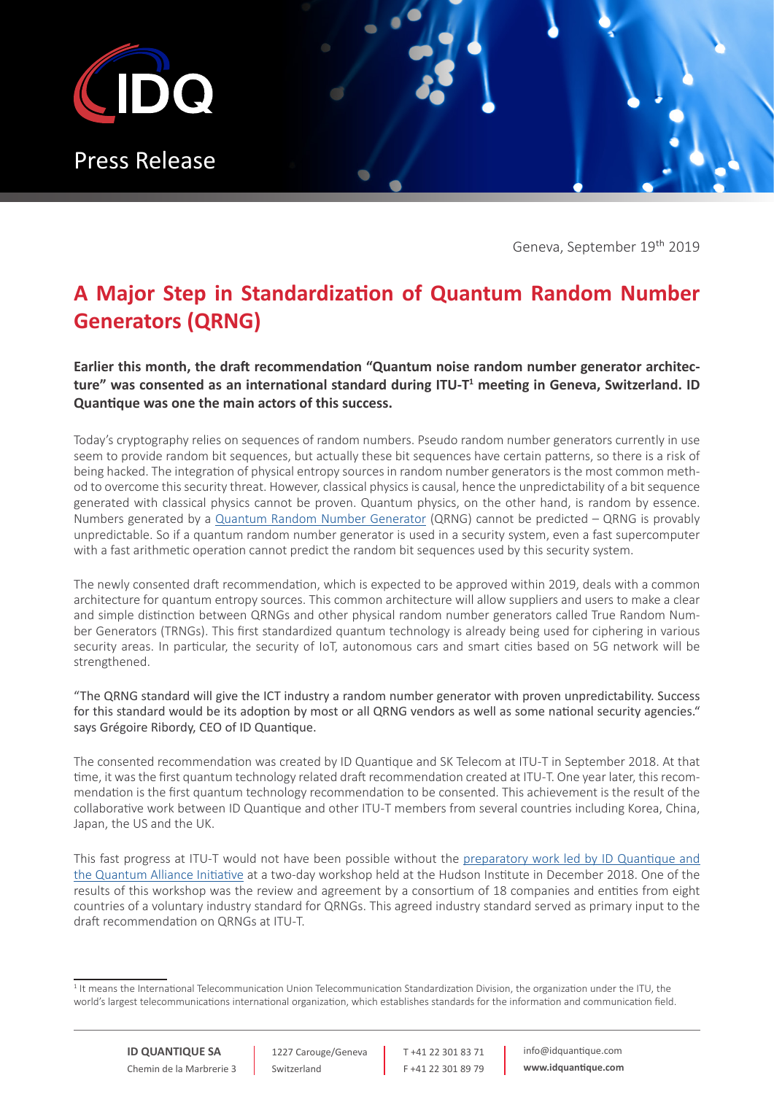

Geneva, September 19th 2019

## **A Major Step in Standardization of Quantum Random Number Generators (QRNG)**

**Earlier this month, the draft recommendation "Quantum noise random number generator architecture" was consented as an international standard during ITU-T<sup>1</sup> meeting in Geneva, Switzerland. ID Quantique was one the main actors of this success.** 

Today's cryptography relies on sequences of random numbers. Pseudo random number generators currently in use seem to provide random bit sequences, but actually these bit sequences have certain patterns, so there is a risk of being hacked. The integration of physical entropy sources in random number generators is the most common method to overcome this security threat. However, classical physics is causal, hence the unpredictability of a bit sequence generated with classical physics cannot be proven. Quantum physics, on the other hand, is random by essence. Numbers generated by a [Quantum Random Number Generator](https://www.idquantique.com/random-number-generation/overview/) (QRNG) cannot be predicted – QRNG is provably unpredictable. So if a quantum random number generator is used in a security system, even a fast supercomputer with a fast arithmetic operation cannot predict the random bit sequences used by this security system.

The newly consented draft recommendation, which is expected to be approved within 2019, deals with a common architecture for quantum entropy sources. This common architecture will allow suppliers and users to make a clear and simple distinction between QRNGs and other physical random number generators called True Random Number Generators (TRNGs). This first standardized quantum technology is already being used for ciphering in various security areas. In particular, the security of IoT, autonomous cars and smart cities based on 5G network will be strengthened.

"The QRNG standard will give the ICT industry a random number generator with proven unpredictability. Success for this standard would be its adoption by most or all QRNG vendors as well as some national security agencies." says Grégoire Ribordy, CEO of ID Quantique.

The consented recommendation was created by ID Quantique and SK Telecom at ITU-T in September 2018. At that time, it was the first quantum technology related draft recommendation created at ITU-T. One year later, this recommendation is the first quantum technology recommendation to be consented. This achievement is the result of the collaborative work between ID Quantique and other ITU-T members from several countries including Korea, China, Japan, the US and the UK.

This fast progress at ITU-T would not have been possible without the [preparatory work led by ID Quantique and](https://www.idquantique.com/quantum-alliance-initiative-and-id-quantique-aim-for-qrng-and-qkd-standardisation/)  [the Quantum Alliance Initiative](https://www.idquantique.com/quantum-alliance-initiative-and-id-quantique-aim-for-qrng-and-qkd-standardisation/) at a two-day workshop held at the Hudson Institute in December 2018. One of the results of this workshop was the review and agreement by a consortium of 18 companies and entities from eight countries of a voluntary industry standard for QRNGs. This agreed industry standard served as primary input to the draft recommendation on QRNGs at ITU-T.

1227 Carouge/Geneva Switzerland

T +41 22 301 83 71 F +41 22 301 89 79 info@idquantique.com **www.idquantique.com**

<sup>&</sup>lt;sup>1</sup> It means the International Telecommunication Union Telecommunication Standardization Division, the organization under the ITU, the world's largest telecommunications international organization, which establishes standards for the information and communication field.